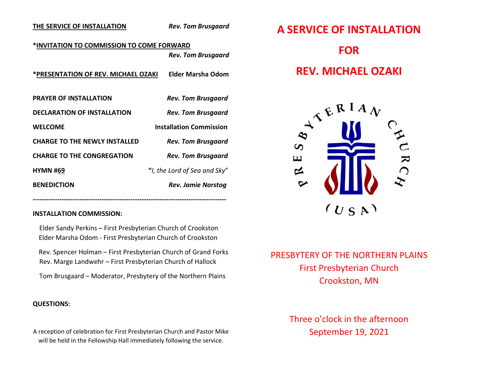### **THE SERVICE OF INSTALLATION** *Rev. Tom Brusgaard*

### **\*INVITATION TO COMMISSION TO COME FORWARD** *Rev. Tom Brusgaard*

**\*PRESENTATION OF REV. MICHAEL OZAKI Elder Marsha Odom**

| <b>PRAYER OF INSTALLATION</b>        | <b>Rev. Tom Brusgaard</b>      |
|--------------------------------------|--------------------------------|
| <b>DECLARATION OF INSTALLATION</b>   | <b>Rev. Tom Brusgaard</b>      |
| <b>WELCOME</b>                       | <b>Installation Commission</b> |
| <b>CHARGE TO THE NEWLY INSTALLED</b> | <b>Rev. Tom Brusgaard</b>      |
| <b>CHARGE TO THE CONGREGATION</b>    | <b>Rev. Tom Brusgaard</b>      |
| <b>HYMN #69</b>                      | "I, the Lord of Sea and Sky"   |
| <b>BENEDICTION</b>                   | <b>Rev. Jamie Norstog</b>      |

#### **INSTALLATION COMMISSION:**

 Elder Sandy Perkins – First Presbyterian Church of Crookston Elder Marsha Odom - First Presbyterian Church of Crookston

*---------------------------------------------------------------------------------------*

 Rev. Spencer Holman – First Presbyterian Church of Grand Forks Rev. Marge Landwehr – First Presbyterian Church of Hallock

Tom Brusgaard – Moderator, Presbytery of the Northern Plains

### **QUESTIONS:**

A reception of celebration for First Presbyterian Church and Pastor Mike will be held in the Fellowship Hall immediately following the service.

# **A SERVICE OF INSTALLATION FOR REV. MICHAEL OZAKI**



## PRESBYTERY OF THE NORTHERN PLAINS First Presbyterian Church Crookston, MN

## Three o'clock in the afternoon September 19, 2021